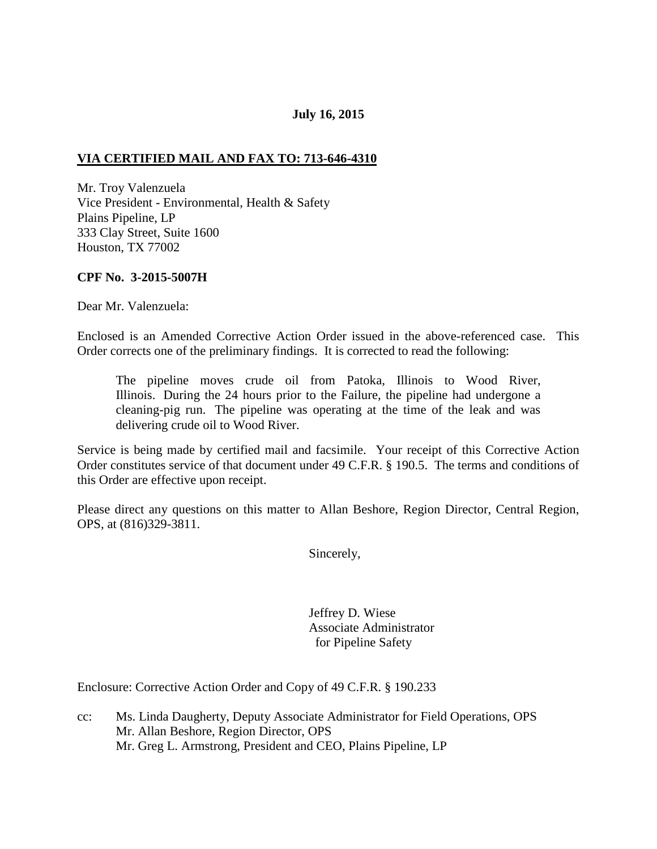## **July 16, 2015**

## **VIA CERTIFIED MAIL AND FAX TO: 713-646-4310**

Mr. Troy Valenzuela Vice President - Environmental, Health & Safety Plains Pipeline, LP 333 Clay Street, Suite 1600 Houston, TX 77002

### **CPF No. 3-2015-5007H**

Dear Mr. Valenzuela:

Enclosed is an Amended Corrective Action Order issued in the above-referenced case. This Order corrects one of the preliminary findings. It is corrected to read the following:

The pipeline moves crude oil from Patoka, Illinois to Wood River, Illinois. During the 24 hours prior to the Failure, the pipeline had undergone a cleaning-pig run. The pipeline was operating at the time of the leak and was delivering crude oil to Wood River.

Service is being made by certified mail and facsimile. Your receipt of this Corrective Action Order constitutes service of that document under 49 C.F.R. § 190.5. The terms and conditions of this Order are effective upon receipt.

Please direct any questions on this matter to Allan Beshore, Region Director, Central Region, OPS, at (816)329-3811.

Sincerely,

 Jeffrey D. Wiese Associate Administrator for Pipeline Safety

Enclosure: Corrective Action Order and Copy of 49 C.F.R. § 190.233

cc: Ms. Linda Daugherty, Deputy Associate Administrator for Field Operations, OPS Mr. Allan Beshore, Region Director, OPS Mr. Greg L. Armstrong, President and CEO, Plains Pipeline, LP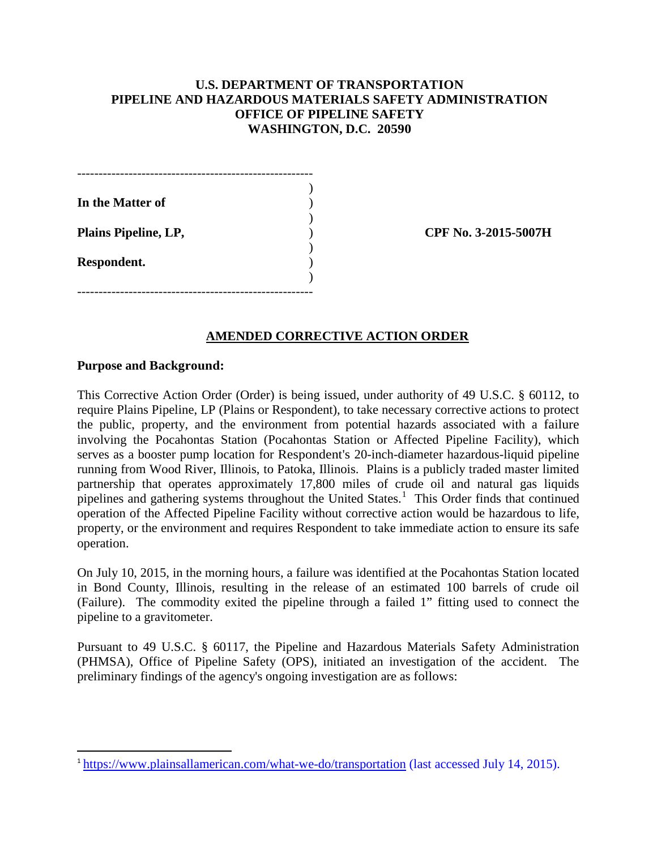## **U.S. DEPARTMENT OF TRANSPORTATION PIPELINE AND HAZARDOUS MATERIALS SAFETY ADMINISTRATION OFFICE OF PIPELINE SAFETY WASHINGTON, D.C. 20590**

| In the Matter of     |  |
|----------------------|--|
|                      |  |
| Plains Pipeline, LP, |  |
|                      |  |
| Respondent.          |  |
|                      |  |
|                      |  |

**Plains Pipeline, LP,** ) **CPF No. 3-2015-5007H**

### **AMENDED CORRECTIVE ACTION ORDER**

#### **Purpose and Background:**

 $\overline{\phantom{a}}$ 

This Corrective Action Order (Order) is being issued, under authority of 49 U.S.C. § 60112, to require Plains Pipeline, LP (Plains or Respondent), to take necessary corrective actions to protect the public, property, and the environment from potential hazards associated with a failure involving the Pocahontas Station (Pocahontas Station or Affected Pipeline Facility), which serves as a booster pump location for Respondent's 20-inch-diameter hazardous-liquid pipeline running from Wood River, Illinois, to Patoka, Illinois. Plains is a publicly traded master limited partnership that operates approximately 17,800 miles of crude oil and natural gas liquids pipelines and gathering systems throughout the United States.<sup>1</sup> This Order finds that continued operation of the Affected Pipeline Facility without corrective action would be hazardous to life, property, or the environment and requires Respondent to take immediate action to ensure its safe operation.

On July 10, 2015, in the morning hours, a failure was identified at the Pocahontas Station located in Bond County, Illinois, resulting in the release of an estimated 100 barrels of crude oil (Failure). The commodity exited the pipeline through a failed 1" fitting used to connect the pipeline to a gravitometer.

Pursuant to 49 U.S.C. § 60117, the Pipeline and Hazardous Materials Safety Administration (PHMSA), Office of Pipeline Safety (OPS), initiated an investigation of the accident. The preliminary findings of the agency's ongoing investigation are as follows:

<sup>1</sup> https://www.plainsallamerican.com/what-we-do/transportation (last accessed July 14, 2015).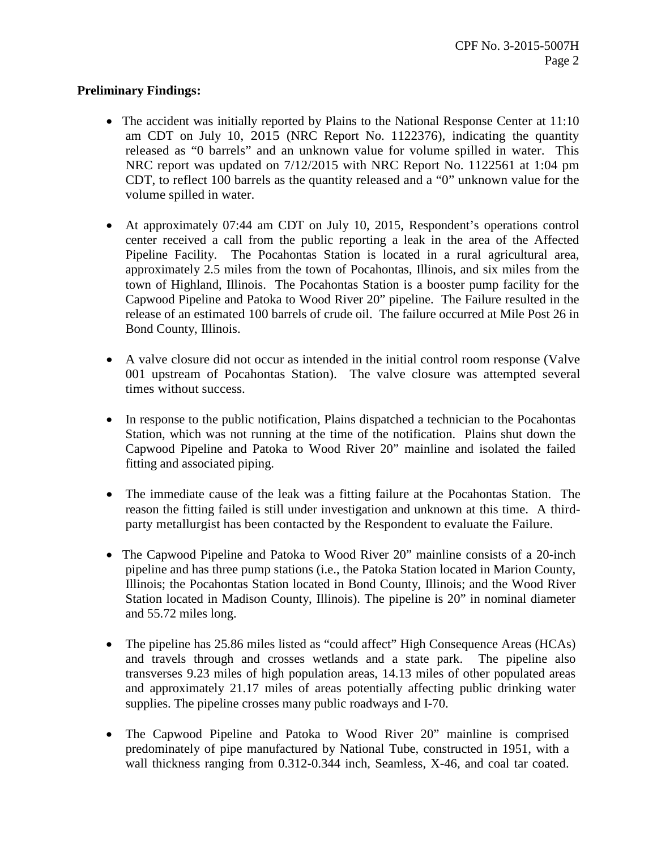## **Preliminary Findings:**

- The accident was initially reported by Plains to the National Response Center at 11:10 am CDT on July 10, 2015 (NRC Report No. 1122376), indicating the quantity released as "0 barrels" and an unknown value for volume spilled in water. This NRC report was updated on 7/12/2015 with NRC Report No. 1122561 at 1:04 pm CDT, to reflect 100 barrels as the quantity released and a "0" unknown value for the volume spilled in water.
- At approximately 07:44 am CDT on July 10, 2015, Respondent's operations control center received a call from the public reporting a leak in the area of the Affected Pipeline Facility. The Pocahontas Station is located in a rural agricultural area, approximately 2.5 miles from the town of Pocahontas, Illinois, and six miles from the town of Highland, Illinois. The Pocahontas Station is a booster pump facility for the Capwood Pipeline and Patoka to Wood River 20" pipeline. The Failure resulted in the release of an estimated 100 barrels of crude oil. The failure occurred at Mile Post 26 in Bond County, Illinois.
- A valve closure did not occur as intended in the initial control room response (Valve 001 upstream of Pocahontas Station). The valve closure was attempted several times without success.
- In response to the public notification, Plains dispatched a technician to the Pocahontas Station, which was not running at the time of the notification. Plains shut down the Capwood Pipeline and Patoka to Wood River 20" mainline and isolated the failed fitting and associated piping.
- The immediate cause of the leak was a fitting failure at the Pocahontas Station. The reason the fitting failed is still under investigation and unknown at this time. A thirdparty metallurgist has been contacted by the Respondent to evaluate the Failure.
- The Capwood Pipeline and Patoka to Wood River 20" mainline consists of a 20-inch pipeline and has three pump stations (i.e., the Patoka Station located in Marion County, Illinois; the Pocahontas Station located in Bond County, Illinois; and the Wood River Station located in Madison County, Illinois). The pipeline is 20" in nominal diameter and 55.72 miles long.
- The pipeline has 25.86 miles listed as "could affect" High Consequence Areas (HCAs) and travels through and crosses wetlands and a state park. The pipeline also transverses 9.23 miles of high population areas, 14.13 miles of other populated areas and approximately 21.17 miles of areas potentially affecting public drinking water supplies. The pipeline crosses many public roadways and I-70.
- The Capwood Pipeline and Patoka to Wood River 20" mainline is comprised predominately of pipe manufactured by National Tube, constructed in 1951, with a wall thickness ranging from 0.312-0.344 inch, Seamless, X-46, and coal tar coated.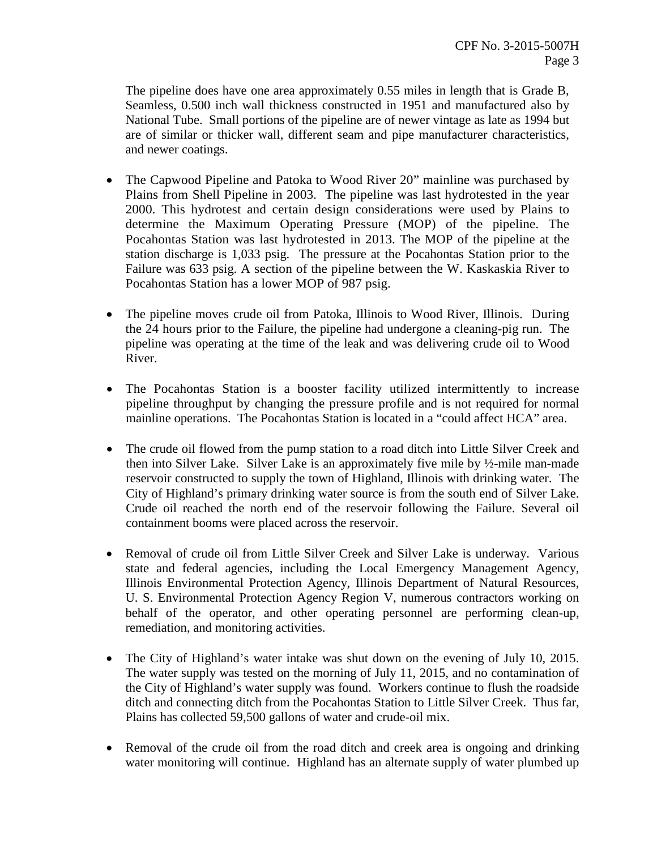The pipeline does have one area approximately 0.55 miles in length that is Grade B, Seamless, 0.500 inch wall thickness constructed in 1951 and manufactured also by National Tube. Small portions of the pipeline are of newer vintage as late as 1994 but are of similar or thicker wall, different seam and pipe manufacturer characteristics, and newer coatings.

- The Capwood Pipeline and Patoka to Wood River 20" mainline was purchased by Plains from Shell Pipeline in 2003. The pipeline was last hydrotested in the year 2000. This hydrotest and certain design considerations were used by Plains to determine the Maximum Operating Pressure (MOP) of the pipeline. The Pocahontas Station was last hydrotested in 2013. The MOP of the pipeline at the station discharge is 1,033 psig. The pressure at the Pocahontas Station prior to the Failure was 633 psig. A section of the pipeline between the W. Kaskaskia River to Pocahontas Station has a lower MOP of 987 psig.
- The pipeline moves crude oil from Patoka, Illinois to Wood River, Illinois. During the 24 hours prior to the Failure, the pipeline had undergone a cleaning-pig run. The pipeline was operating at the time of the leak and was delivering crude oil to Wood River.
- The Pocahontas Station is a booster facility utilized intermittently to increase pipeline throughput by changing the pressure profile and is not required for normal mainline operations. The Pocahontas Station is located in a "could affect HCA" area.
- The crude oil flowed from the pump station to a road ditch into Little Silver Creek and then into Silver Lake. Silver Lake is an approximately five mile by ½-mile man-made reservoir constructed to supply the town of Highland, Illinois with drinking water. The City of Highland's primary drinking water source is from the south end of Silver Lake. Crude oil reached the north end of the reservoir following the Failure. Several oil containment booms were placed across the reservoir.
- Removal of crude oil from Little Silver Creek and Silver Lake is underway. Various state and federal agencies, including the Local Emergency Management Agency, Illinois Environmental Protection Agency, Illinois Department of Natural Resources, U. S. Environmental Protection Agency Region V, numerous contractors working on behalf of the operator, and other operating personnel are performing clean-up, remediation, and monitoring activities.
- The City of Highland's water intake was shut down on the evening of July 10, 2015. The water supply was tested on the morning of July 11, 2015, and no contamination of the City of Highland's water supply was found. Workers continue to flush the roadside ditch and connecting ditch from the Pocahontas Station to Little Silver Creek. Thus far, Plains has collected 59,500 gallons of water and crude-oil mix.
- Removal of the crude oil from the road ditch and creek area is ongoing and drinking water monitoring will continue. Highland has an alternate supply of water plumbed up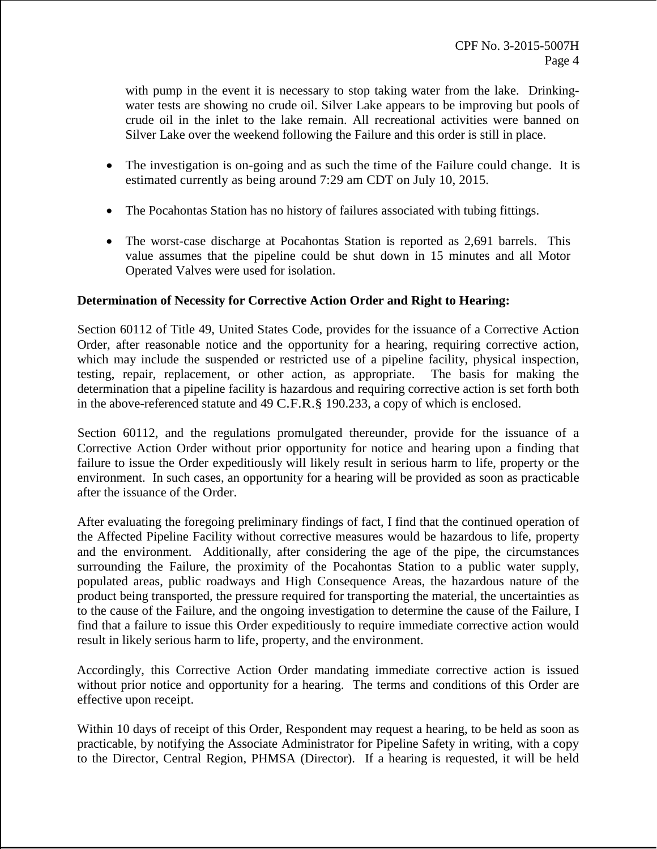with pump in the event it is necessary to stop taking water from the lake. Drinkingwater tests are showing no crude oil. Silver Lake appears to be improving but pools of crude oil in the inlet to the lake remain. All recreational activities were banned on Silver Lake over the weekend following the Failure and this order is still in place.

- The investigation is on-going and as such the time of the Failure could change. It is estimated currently as being around 7:29 am CDT on July 10, 2015.
- The Pocahontas Station has no history of failures associated with tubing fittings.
- The worst-case discharge at Pocahontas Station is reported as 2,691 barrels. This value assumes that the pipeline could be shut down in 15 minutes and all Motor Operated Valves were used for isolation.

# **Determination of Necessity for Corrective Action Order and Right to Hearing:**

Section 60112 of Title 49, United States Code, provides for the issuance of a Corrective Action Order, after reasonable notice and the opportunity for a hearing, requiring corrective action, which may include the suspended or restricted use of a pipeline facility, physical inspection, testing, repair, replacement, or other action, as appropriate. The basis for making the determination that a pipeline facility is hazardous and requiring corrective action is set forth both in the above-referenced statute and 49 C.F.R.§ 190.233, a copy of which is enclosed.

Section 60112, and the regulations promulgated thereunder, provide for the issuance of a Corrective Action Order without prior opportunity for notice and hearing upon a finding that failure to issue the Order expeditiously will likely result in serious harm to life, property or the environment. In such cases, an opportunity for a hearing will be provided as soon as practicable after the issuance of the Order.

After evaluating the foregoing preliminary findings of fact, I find that the continued operation of the Affected Pipeline Facility without corrective measures would be hazardous to life, property and the environment. Additionally, after considering the age of the pipe, the circumstances surrounding the Failure, the proximity of the Pocahontas Station to a public water supply, populated areas, public roadways and High Consequence Areas, the hazardous nature of the product being transported, the pressure required for transporting the material, the uncertainties as to the cause of the Failure, and the ongoing investigation to determine the cause of the Failure, I find that a failure to issue this Order expeditiously to require immediate corrective action would result in likely serious harm to life, property, and the environment.

Accordingly, this Corrective Action Order mandating immediate corrective action is issued without prior notice and opportunity for a hearing. The terms and conditions of this Order are effective upon receipt.

Within 10 days of receipt of this Order, Respondent may request a hearing, to be held as soon as practicable, by notifying the Associate Administrator for Pipeline Safety in writing, with a copy to the Director, Central Region, PHMSA (Director). If a hearing is requested, it will be held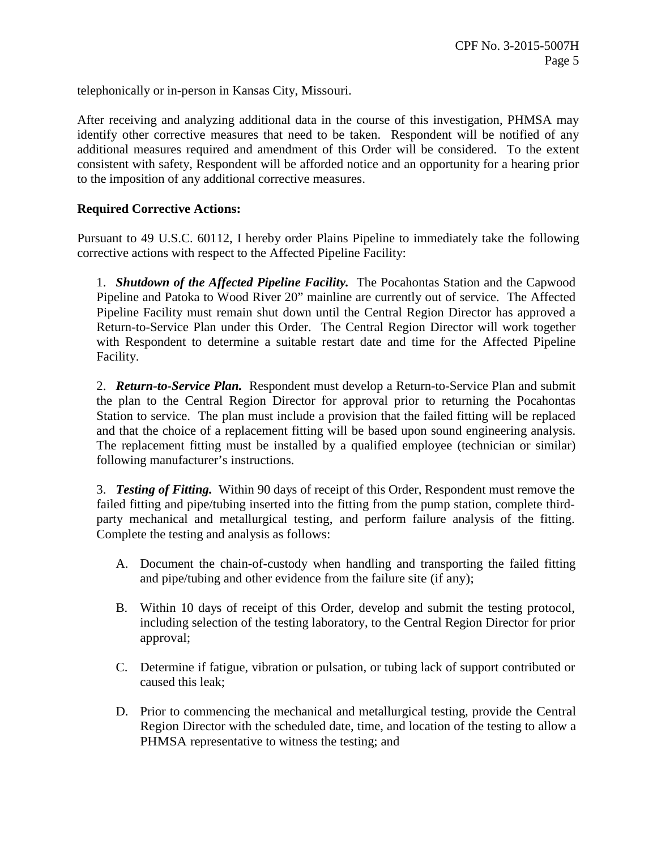telephonically or in-person in Kansas City, Missouri.

After receiving and analyzing additional data in the course of this investigation, PHMSA may identify other corrective measures that need to be taken. Respondent will be notified of any additional measures required and amendment of this Order will be considered. To the extent consistent with safety, Respondent will be afforded notice and an opportunity for a hearing prior to the imposition of any additional corrective measures.

## **Required Corrective Actions:**

Pursuant to 49 U.S.C. 60112, I hereby order Plains Pipeline to immediately take the following corrective actions with respect to the Affected Pipeline Facility:

1. *Shutdown of the Affected Pipeline Facility.* The Pocahontas Station and the Capwood Pipeline and Patoka to Wood River 20" mainline are currently out of service. The Affected Pipeline Facility must remain shut down until the Central Region Director has approved a Return-to-Service Plan under this Order. The Central Region Director will work together with Respondent to determine a suitable restart date and time for the Affected Pipeline Facility.

2. *Return-to-Service Plan.* Respondent must develop a Return-to-Service Plan and submit the plan to the Central Region Director for approval prior to returning the Pocahontas Station to service. The plan must include a provision that the failed fitting will be replaced and that the choice of a replacement fitting will be based upon sound engineering analysis. The replacement fitting must be installed by a qualified employee (technician or similar) following manufacturer's instructions.

3. *Testing of Fitting.* Within 90 days of receipt of this Order, Respondent must remove the failed fitting and pipe/tubing inserted into the fitting from the pump station, complete thirdparty mechanical and metallurgical testing, and perform failure analysis of the fitting. Complete the testing and analysis as follows:

- A. Document the chain-of-custody when handling and transporting the failed fitting and pipe/tubing and other evidence from the failure site (if any);
- B. Within 10 days of receipt of this Order, develop and submit the testing protocol, including selection of the testing laboratory, to the Central Region Director for prior approval;
- C. Determine if fatigue, vibration or pulsation, or tubing lack of support contributed or caused this leak;
- D. Prior to commencing the mechanical and metallurgical testing, provide the Central Region Director with the scheduled date, time, and location of the testing to allow a PHMSA representative to witness the testing; and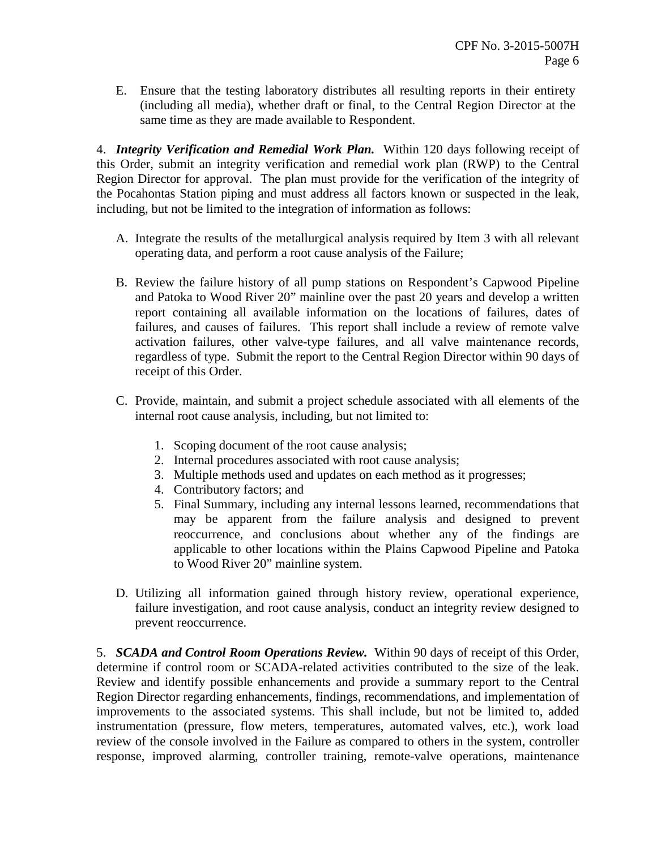E. Ensure that the testing laboratory distributes all resulting reports in their entirety (including all media), whether draft or final, to the Central Region Director at the same time as they are made available to Respondent.

4. *Integrity Verification and Remedial Work Plan.* Within 120 days following receipt of this Order, submit an integrity verification and remedial work plan (RWP) to the Central Region Director for approval. The plan must provide for the verification of the integrity of the Pocahontas Station piping and must address all factors known or suspected in the leak, including, but not be limited to the integration of information as follows:

- A. Integrate the results of the metallurgical analysis required by Item 3 with all relevant operating data, and perform a root cause analysis of the Failure;
- B. Review the failure history of all pump stations on Respondent's Capwood Pipeline and Patoka to Wood River 20" mainline over the past 20 years and develop a written report containing all available information on the locations of failures, dates of failures, and causes of failures. This report shall include a review of remote valve activation failures, other valve-type failures, and all valve maintenance records, regardless of type. Submit the report to the Central Region Director within 90 days of receipt of this Order.
- C. Provide, maintain, and submit a project schedule associated with all elements of the internal root cause analysis, including, but not limited to:
	- 1. Scoping document of the root cause analysis;
	- 2. Internal procedures associated with root cause analysis;
	- 3. Multiple methods used and updates on each method as it progresses;
	- 4. Contributory factors; and
	- 5. Final Summary, including any internal lessons learned, recommendations that may be apparent from the failure analysis and designed to prevent reoccurrence, and conclusions about whether any of the findings are applicable to other locations within the Plains Capwood Pipeline and Patoka to Wood River 20" mainline system.
- D. Utilizing all information gained through history review, operational experience, failure investigation, and root cause analysis, conduct an integrity review designed to prevent reoccurrence.

5. *SCADA and Control Room Operations Review.* Within 90 days of receipt of this Order, determine if control room or SCADA-related activities contributed to the size of the leak. Review and identify possible enhancements and provide a summary report to the Central Region Director regarding enhancements, findings, recommendations, and implementation of improvements to the associated systems. This shall include, but not be limited to, added instrumentation (pressure, flow meters, temperatures, automated valves, etc.), work load review of the console involved in the Failure as compared to others in the system, controller response, improved alarming, controller training, remote-valve operations, maintenance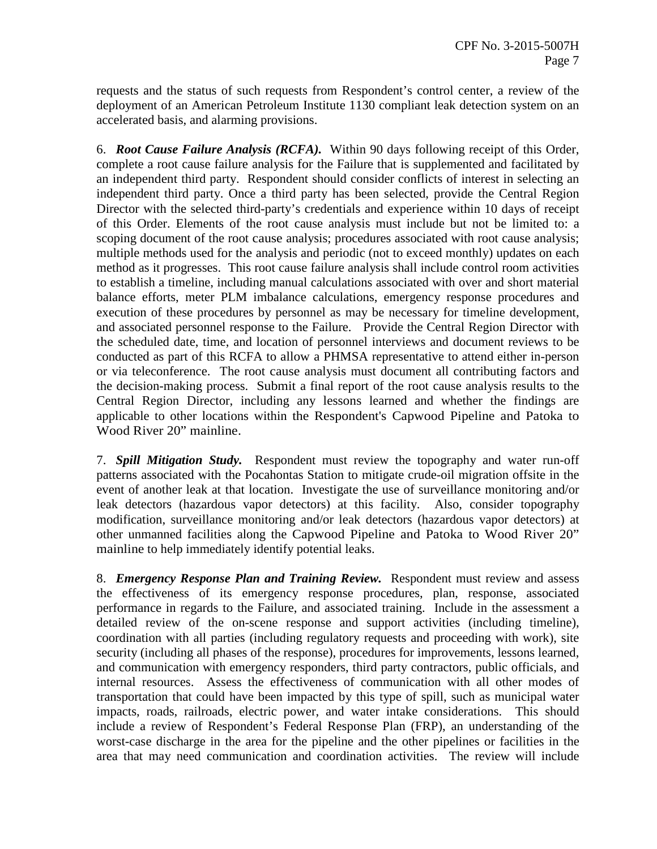requests and the status of such requests from Respondent's control center, a review of the deployment of an American Petroleum Institute 1130 compliant leak detection system on an accelerated basis, and alarming provisions.

6. *Root Cause Failure Analysis (RCFA).* Within 90 days following receipt of this Order, complete a root cause failure analysis for the Failure that is supplemented and facilitated by an independent third party. Respondent should consider conflicts of interest in selecting an independent third party. Once a third party has been selected, provide the Central Region Director with the selected third-party's credentials and experience within 10 days of receipt of this Order. Elements of the root cause analysis must include but not be limited to: a scoping document of the root cause analysis; procedures associated with root cause analysis; multiple methods used for the analysis and periodic (not to exceed monthly) updates on each method as it progresses. This root cause failure analysis shall include control room activities to establish a timeline, including manual calculations associated with over and short material balance efforts, meter PLM imbalance calculations, emergency response procedures and execution of these procedures by personnel as may be necessary for timeline development, and associated personnel response to the Failure. Provide the Central Region Director with the scheduled date, time, and location of personnel interviews and document reviews to be conducted as part of this RCFA to allow a PHMSA representative to attend either in-person or via teleconference. The root cause analysis must document all contributing factors and the decision-making process. Submit a final report of the root cause analysis results to the Central Region Director, including any lessons learned and whether the findings are applicable to other locations within the Respondent's Capwood Pipeline and Patoka to Wood River 20" mainline.

7. *Spill Mitigation Study.* Respondent must review the topography and water run-off patterns associated with the Pocahontas Station to mitigate crude-oil migration offsite in the event of another leak at that location. Investigate the use of surveillance monitoring and/or leak detectors (hazardous vapor detectors) at this facility. Also, consider topography modification, surveillance monitoring and/or leak detectors (hazardous vapor detectors) at other unmanned facilities along the Capwood Pipeline and Patoka to Wood River 20" mainline to help immediately identify potential leaks.

8. *Emergency Response Plan and Training Review.* Respondent must review and assess the effectiveness of its emergency response procedures, plan, response, associated performance in regards to the Failure, and associated training. Include in the assessment a detailed review of the on-scene response and support activities (including timeline), coordination with all parties (including regulatory requests and proceeding with work), site security (including all phases of the response), procedures for improvements, lessons learned, and communication with emergency responders, third party contractors, public officials, and internal resources. Assess the effectiveness of communication with all other modes of transportation that could have been impacted by this type of spill, such as municipal water impacts, roads, railroads, electric power, and water intake considerations. This should include a review of Respondent's Federal Response Plan (FRP), an understanding of the worst-case discharge in the area for the pipeline and the other pipelines or facilities in the area that may need communication and coordination activities. The review will include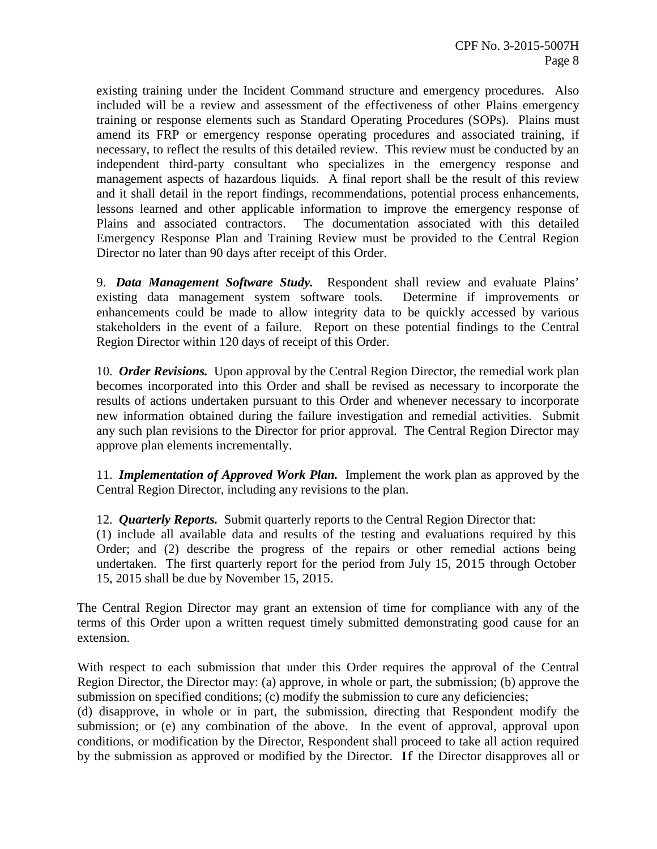existing training under the Incident Command structure and emergency procedures. Also included will be a review and assessment of the effectiveness of other Plains emergency training or response elements such as Standard Operating Procedures (SOPs). Plains must amend its FRP or emergency response operating procedures and associated training, if necessary, to reflect the results of this detailed review. This review must be conducted by an independent third-party consultant who specializes in the emergency response and management aspects of hazardous liquids. A final report shall be the result of this review and it shall detail in the report findings, recommendations, potential process enhancements, lessons learned and other applicable information to improve the emergency response of Plains and associated contractors. The documentation associated with this detailed Emergency Response Plan and Training Review must be provided to the Central Region Director no later than 90 days after receipt of this Order.

9. *Data Management Software Study.* Respondent shall review and evaluate Plains' existing data management system software tools. Determine if improvements or enhancements could be made to allow integrity data to be quickly accessed by various stakeholders in the event of a failure. Report on these potential findings to the Central Region Director within 120 days of receipt of this Order.

10. *Order Revisions.* Upon approval by the Central Region Director, the remedial work plan becomes incorporated into this Order and shall be revised as necessary to incorporate the results of actions undertaken pursuant to this Order and whenever necessary to incorporate new information obtained during the failure investigation and remedial activities. Submit any such plan revisions to the Director for prior approval. The Central Region Director may approve plan elements incrementally.

11. *Implementation of Approved Work Plan.* Implement the work plan as approved by the Central Region Director, including any revisions to the plan.

12. *Quarterly Reports.* Submit quarterly reports to the Central Region Director that:

(1) include all available data and results of the testing and evaluations required by this Order; and (2) describe the progress of the repairs or other remedial actions being undertaken. The first quarterly report for the period from July 15, 2015 through October 15, 2015 shall be due by November 15, 2015.

The Central Region Director may grant an extension of time for compliance with any of the terms of this Order upon a written request timely submitted demonstrating good cause for an extension.

With respect to each submission that under this Order requires the approval of the Central Region Director, the Director may: (a) approve, in whole or part, the submission; (b) approve the submission on specified conditions; (c) modify the submission to cure any deficiencies;

(d) disapprove, in whole or in part, the submission, directing that Respondent modify the submission; or (e) any combination of the above. In the event of approval, approval upon conditions, or modification by the Director, Respondent shall proceed to take all action required by the submission as approved or modified by the Director. If the Director disapproves all or